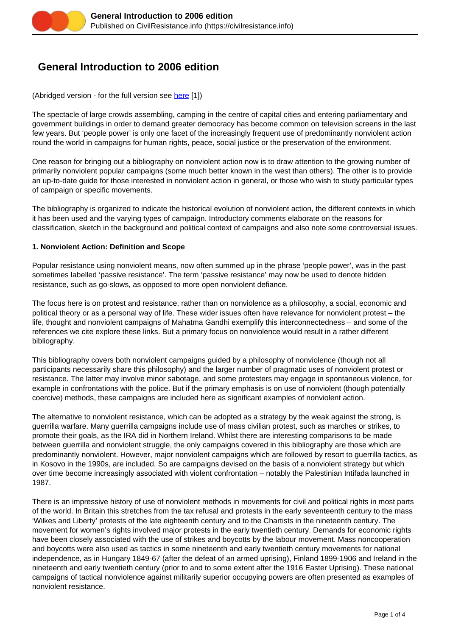

# **General Introduction to 2006 edition**

(Abridged version - for the full version see [here](https://civilresistance.info/bibliography/2006/genint) [1])

The spectacle of large crowds assembling, camping in the centre of capital cities and entering parliamentary and government buildings in order to demand greater democracy has become common on television screens in the last few years. But 'people power' is only one facet of the increasingly frequent use of predominantly nonviolent action round the world in campaigns for human rights, peace, social justice or the preservation of the environment.

One reason for bringing out a bibliography on nonviolent action now is to draw attention to the growing number of primarily nonviolent popular campaigns (some much better known in the west than others). The other is to provide an up-to-date guide for those interested in nonviolent action in general, or those who wish to study particular types of campaign or specific movements.

The bibliography is organized to indicate the historical evolution of nonviolent action, the different contexts in which it has been used and the varying types of campaign. Introductory comments elaborate on the reasons for classification, sketch in the background and political context of campaigns and also note some controversial issues.

#### **1. Nonviolent Action: Definition and Scope**

Popular resistance using nonviolent means, now often summed up in the phrase 'people power', was in the past sometimes labelled 'passive resistance'. The term 'passive resistance' may now be used to denote hidden resistance, such as go-slows, as opposed to more open nonviolent defiance.

The focus here is on protest and resistance, rather than on nonviolence as a philosophy, a social, economic and political theory or as a personal way of life. These wider issues often have relevance for nonviolent protest – the life, thought and nonviolent campaigns of Mahatma Gandhi exemplify this interconnectedness – and some of the references we cite explore these links. But a primary focus on nonviolence would result in a rather different bibliography.

This bibliography covers both nonviolent campaigns guided by a philosophy of nonviolence (though not all participants necessarily share this philosophy) and the larger number of pragmatic uses of nonviolent protest or resistance. The latter may involve minor sabotage, and some protesters may engage in spontaneous violence, for example in confrontations with the police. But if the primary emphasis is on use of nonviolent (though potentially coercive) methods, these campaigns are included here as significant examples of nonviolent action.

The alternative to nonviolent resistance, which can be adopted as a strategy by the weak against the strong, is guerrilla warfare. Many guerrilla campaigns include use of mass civilian protest, such as marches or strikes, to promote their goals, as the IRA did in Northern Ireland. Whilst there are interesting comparisons to be made between guerrilla and nonviolent struggle, the only campaigns covered in this bibliography are those which are predominantly nonviolent. However, major nonviolent campaigns which are followed by resort to guerrilla tactics, as in Kosovo in the 1990s, are included. So are campaigns devised on the basis of a nonviolent strategy but which over time become increasingly associated with violent confrontation – notably the Palestinian Intifada launched in 1987.

There is an impressive history of use of nonviolent methods in movements for civil and political rights in most parts of the world. In Britain this stretches from the tax refusal and protests in the early seventeenth century to the mass 'Wilkes and Liberty' protests of the late eighteenth century and to the Chartists in the nineteenth century. The movement for women's rights involved major protests in the early twentieth century. Demands for economic rights have been closely associated with the use of strikes and boycotts by the labour movement. Mass noncooperation and boycotts were also used as tactics in some nineteenth and early twentieth century movements for national independence, as in Hungary 1849-67 (after the defeat of an armed uprising), Finland 1899-1906 and Ireland in the nineteenth and early twentieth century (prior to and to some extent after the 1916 Easter Uprising). These national campaigns of tactical nonviolence against militarily superior occupying powers are often presented as examples of nonviolent resistance.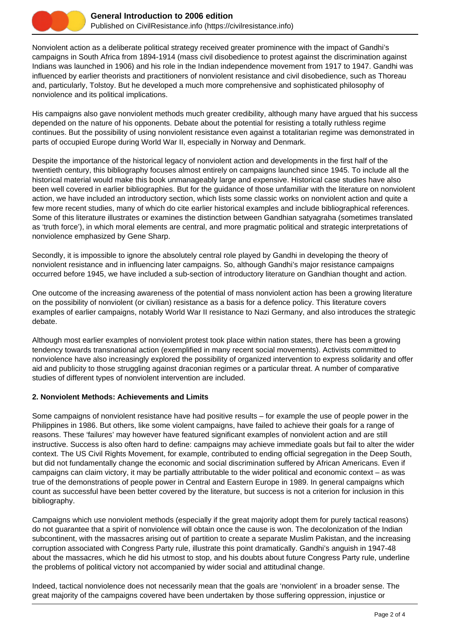

Nonviolent action as a deliberate political strategy received greater prominence with the impact of Gandhi's campaigns in South Africa from 1894-1914 (mass civil disobedience to protest against the discrimination against Indians was launched in 1906) and his role in the Indian independence movement from 1917 to 1947. Gandhi was influenced by earlier theorists and practitioners of nonviolent resistance and civil disobedience, such as Thoreau and, particularly, Tolstoy. But he developed a much more comprehensive and sophisticated philosophy of nonviolence and its political implications.

His campaigns also gave nonviolent methods much greater credibility, although many have argued that his success depended on the nature of his opponents. Debate about the potential for resisting a totally ruthless regime continues. But the possibility of using nonviolent resistance even against a totalitarian regime was demonstrated in parts of occupied Europe during World War II, especially in Norway and Denmark.

Despite the importance of the historical legacy of nonviolent action and developments in the first half of the twentieth century, this bibliography focuses almost entirely on campaigns launched since 1945. To include all the historical material would make this book unmanageably large and expensive. Historical case studies have also been well covered in earlier bibliographies. But for the guidance of those unfamiliar with the literature on nonviolent action, we have included an introductory section, which lists some classic works on nonviolent action and quite a few more recent studies, many of which do cite earlier historical examples and include bibliographical references. Some of this literature illustrates or examines the distinction between Gandhian satyagraha (sometimes translated as 'truth force'), in which moral elements are central, and more pragmatic political and strategic interpretations of nonviolence emphasized by Gene Sharp.

Secondly, it is impossible to ignore the absolutely central role played by Gandhi in developing the theory of nonviolent resistance and in influencing later campaigns. So, although Gandhi's major resistance campaigns occurred before 1945, we have included a sub-section of introductory literature on Gandhian thought and action.

One outcome of the increasing awareness of the potential of mass nonviolent action has been a growing literature on the possibility of nonviolent (or civilian) resistance as a basis for a defence policy. This literature covers examples of earlier campaigns, notably World War II resistance to Nazi Germany, and also introduces the strategic debate.

Although most earlier examples of nonviolent protest took place within nation states, there has been a growing tendency towards transnational action (exemplified in many recent social movements). Activists committed to nonviolence have also increasingly explored the possibility of organized intervention to express solidarity and offer aid and publicity to those struggling against draconian regimes or a particular threat. A number of comparative studies of different types of nonviolent intervention are included.

## **2. Nonviolent Methods: Achievements and Limits**

Some campaigns of nonviolent resistance have had positive results – for example the use of people power in the Philippines in 1986. But others, like some violent campaigns, have failed to achieve their goals for a range of reasons. These 'failures' may however have featured significant examples of nonviolent action and are still instructive. Success is also often hard to define: campaigns may achieve immediate goals but fail to alter the wider context. The US Civil Rights Movement, for example, contributed to ending official segregation in the Deep South, but did not fundamentally change the economic and social discrimination suffered by African Americans. Even if campaigns can claim victory, it may be partially attributable to the wider political and economic context – as was true of the demonstrations of people power in Central and Eastern Europe in 1989. In general campaigns which count as successful have been better covered by the literature, but success is not a criterion for inclusion in this bibliography.

Campaigns which use nonviolent methods (especially if the great majority adopt them for purely tactical reasons) do not guarantee that a spirit of nonviolence will obtain once the cause is won. The decolonization of the Indian subcontinent, with the massacres arising out of partition to create a separate Muslim Pakistan, and the increasing corruption associated with Congress Party rule, illustrate this point dramatically. Gandhi's anguish in 1947-48 about the massacres, which he did his utmost to stop, and his doubts about future Congress Party rule, underline the problems of political victory not accompanied by wider social and attitudinal change.

Indeed, tactical nonviolence does not necessarily mean that the goals are 'nonviolent' in a broader sense. The great majority of the campaigns covered have been undertaken by those suffering oppression, injustice or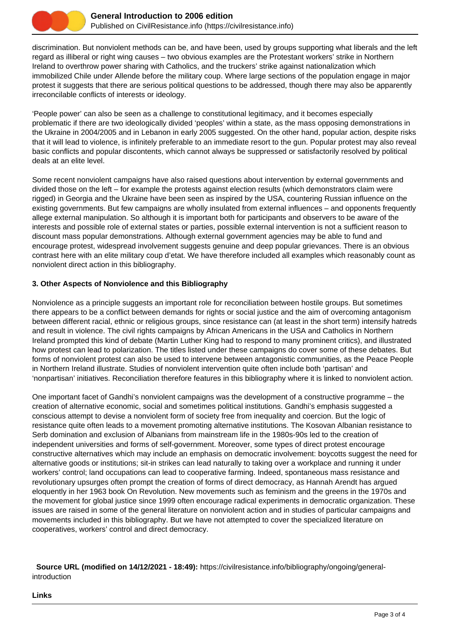

discrimination. But nonviolent methods can be, and have been, used by groups supporting what liberals and the left regard as illiberal or right wing causes – two obvious examples are the Protestant workers' strike in Northern Ireland to overthrow power sharing with Catholics, and the truckers' strike against nationalization which immobilized Chile under Allende before the military coup. Where large sections of the population engage in major protest it suggests that there are serious political questions to be addressed, though there may also be apparently irreconcilable conflicts of interests or ideology.

'People power' can also be seen as a challenge to constitutional legitimacy, and it becomes especially problematic if there are two ideologically divided 'peoples' within a state, as the mass opposing demonstrations in the Ukraine in 2004/2005 and in Lebanon in early 2005 suggested. On the other hand, popular action, despite risks that it will lead to violence, is infinitely preferable to an immediate resort to the gun. Popular protest may also reveal basic conflicts and popular discontents, which cannot always be suppressed or satisfactorily resolved by political deals at an elite level.

Some recent nonviolent campaigns have also raised questions about intervention by external governments and divided those on the left – for example the protests against election results (which demonstrators claim were rigged) in Georgia and the Ukraine have been seen as inspired by the USA, countering Russian influence on the existing governments. But few campaigns are wholly insulated from external influences – and opponents frequently allege external manipulation. So although it is important both for participants and observers to be aware of the interests and possible role of external states or parties, possible external intervention is not a sufficient reason to discount mass popular demonstrations. Although external government agencies may be able to fund and encourage protest, widespread involvement suggests genuine and deep popular grievances. There is an obvious contrast here with an elite military coup d'etat. We have therefore included all examples which reasonably count as nonviolent direct action in this bibliography.

## **3. Other Aspects of Nonviolence and this Bibliography**

Nonviolence as a principle suggests an important role for reconciliation between hostile groups. But sometimes there appears to be a conflict between demands for rights or social justice and the aim of overcoming antagonism between different racial, ethnic or religious groups, since resistance can (at least in the short term) intensify hatreds and result in violence. The civil rights campaigns by African Americans in the USA and Catholics in Northern Ireland prompted this kind of debate (Martin Luther King had to respond to many prominent critics), and illustrated how protest can lead to polarization. The titles listed under these campaigns do cover some of these debates. But forms of nonviolent protest can also be used to intervene between antagonistic communities, as the Peace People in Northern Ireland illustrate. Studies of nonviolent intervention quite often include both 'partisan' and 'nonpartisan' initiatives. Reconciliation therefore features in this bibliography where it is linked to nonviolent action.

One important facet of Gandhi's nonviolent campaigns was the development of a constructive programme – the creation of alternative economic, social and sometimes political institutions. Gandhi's emphasis suggested a conscious attempt to devise a nonviolent form of society free from inequality and coercion. But the logic of resistance quite often leads to a movement promoting alternative institutions. The Kosovan Albanian resistance to Serb domination and exclusion of Albanians from mainstream life in the 1980s-90s led to the creation of independent universities and forms of self-government. Moreover, some types of direct protest encourage constructive alternatives which may include an emphasis on democratic involvement: boycotts suggest the need for alternative goods or institutions; sit-in strikes can lead naturally to taking over a workplace and running it under workers' control; land occupations can lead to cooperative farming. Indeed, spontaneous mass resistance and revolutionary upsurges often prompt the creation of forms of direct democracy, as Hannah Arendt has argued eloquently in her 1963 book On Revolution. New movements such as feminism and the greens in the 1970s and the movement for global justice since 1999 often encourage radical experiments in democratic organization. These issues are raised in some of the general literature on nonviolent action and in studies of particular campaigns and movements included in this bibliography. But we have not attempted to cover the specialized literature on cooperatives, workers' control and direct democracy.

 **Source URL (modified on 14/12/2021 - 18:49):** https://civilresistance.info/bibliography/ongoing/generalintroduction

#### **Links**